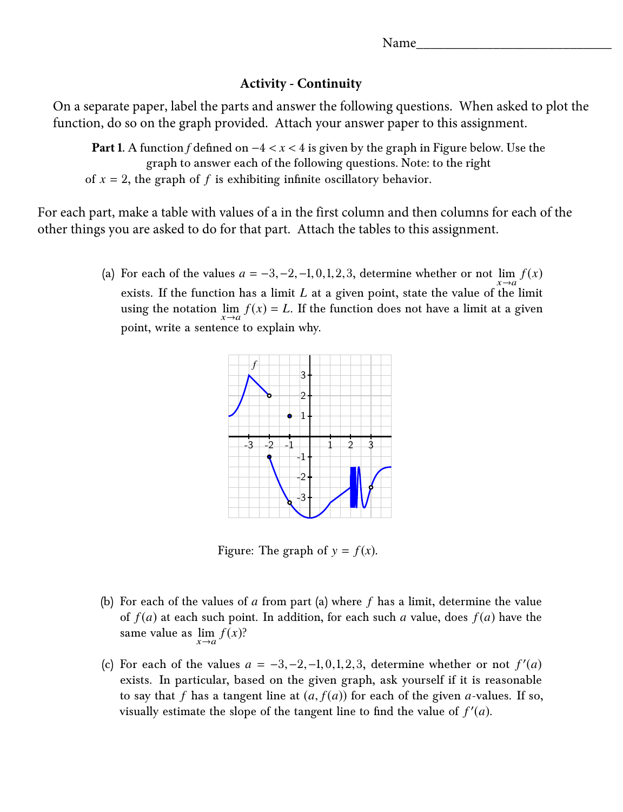Name\_

## **Activity - Continuity**

On a separate paper, label the parts and answer the following questions. When asked to plot the function, do so on the graph provided. Attach your answer paper to this assignment.

**Part 1.** A function *f* defined on  $-4 < x < 4$  is given by the graph in Figure below. Use the graph to answer each of the following questions. Note: to the right of  $x = 2$ , the graph of f is exhibiting infinite oscillatory behavior.

For each part, make a table with values of a in the first column and then columns for each of the other things you are asked to do for that part. Attach the tables to this assignment.

> (a) For each of the values  $a = -3, -2, -1, 0, 1, 2, 3$ , determine whether or not  $\lim_{x \to a} f(x)$ exists. If the function has a limit *L* at a given point, state the value of the limit using the notation  $\lim_{x\to a} f(x) = L$ . If the function does not have a limit at a given point, write a sentence to explain why.



Figure: The graph of  $y = f(x)$ .

- (b) For each of the values of *a* from part (a) where *f* has a limit, determine the value same value as  $\lim_{x \to a} f(x)$ ? of  $f(a)$  at each such point. In addition, for each such *a* value, does  $f(a)$  have the
- (c) For each of the values  $a = -3, -2, -1, 0, 1, 2, 3$ , determine whether or not  $f'(a)$ <br>oviets. In particular, based on the given graph, ask vourself if it is reasonable exists. In particular, based on the given graph, ask yourself if it is reasonable to say that f has a tangent line at  $(a, f(a))$  for each of the given a-values. If so, visually estimate the slope of the tangent line to find the value of  $f'(a)$ .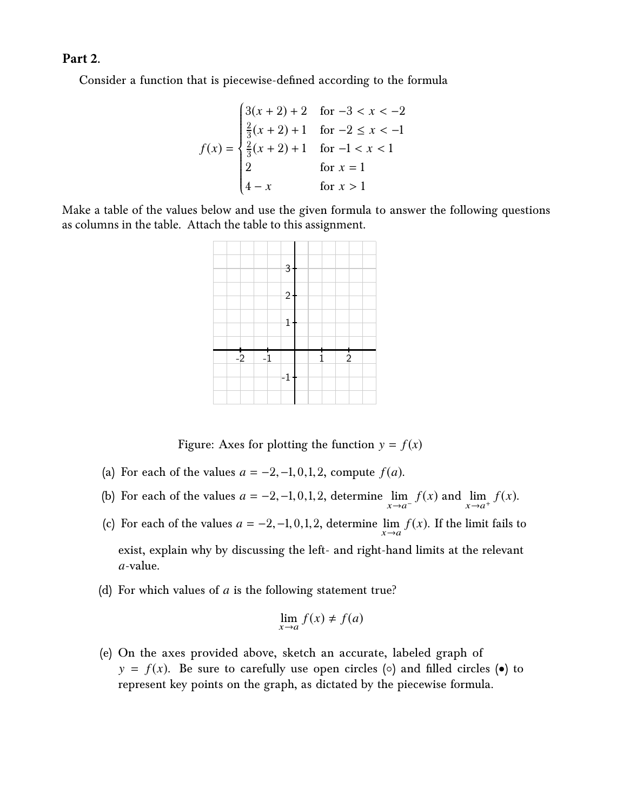## **Part 2.**

Consider a function that is piecewise-defined according to the formula

$$
f(x) = \begin{cases} 3(x+2) + 2 & \text{for } -3 < x < -2 \\ \frac{2}{3}(x+2) + 1 & \text{for } -2 \le x < -1 \\ \frac{2}{3}(x+2) + 1 & \text{for } -1 < x < 1 \\ 2 & \text{for } x = 1 \\ 4 - x & \text{for } x > 1 \end{cases}
$$

Make a table of the values below and use the given formula to answer the following questions as columns in the table. Attach the table to this assignment.



Figure: Axes for plotting the function  $y = f(x)$ 

- (a) For each of the values  $a = -2, -1, 0, 1, 2$ , compute  $f(a)$ .
- (b) For each of the values  $a = -2, -1, 0, 1, 2$ , determine  $\lim_{x \to a^{-}} f(x)$  and  $\lim_{x \to a^{+}} f(x)$ .
- (c) For each of the values  $a = -2, -1, 0, 1, 2$ , determine  $\lim_{x \to a} f(x)$ . If the limit fails to exist, explain why by discussing the left- and right-hand limits at the relevant *a*-value.
- (d) For which values of *a* is the following statement true?

$$
\lim_{x \to a} f(x) \neq f(a)
$$

(e) On the axes provided above, sketch an accurate, labeled graph of  $y = f(x)$ . Be sure to carefully use open circles ( $\circ$ ) and filled circles ( $\bullet$ ) to represent key points on the graph, as dictated by the piecewise formula.